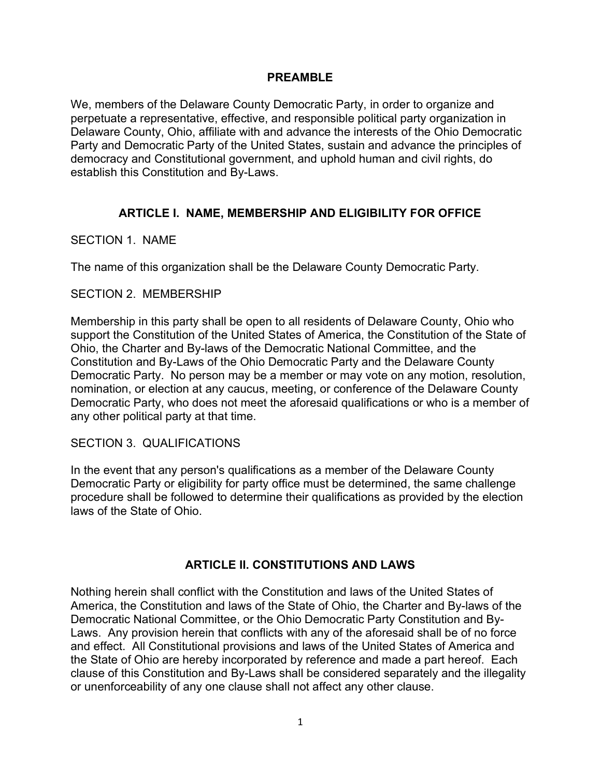### PREAMBLE

We, members of the Delaware County Democratic Party, in order to organize and perpetuate a representative, effective, and responsible political party organization in Delaware County, Ohio, affiliate with and advance the interests of the Ohio Democratic Party and Democratic Party of the United States, sustain and advance the principles of democracy and Constitutional government, and uphold human and civil rights, do establish this Constitution and By-Laws.

## ARTICLE I. NAME, MEMBERSHIP AND ELIGIBILITY FOR OFFICE

### SECTION 1. NAME

The name of this organization shall be the Delaware County Democratic Party.

#### SECTION 2. MEMBERSHIP

Membership in this party shall be open to all residents of Delaware County, Ohio who support the Constitution of the United States of America, the Constitution of the State of Ohio, the Charter and By-laws of the Democratic National Committee, and the Constitution and By-Laws of the Ohio Democratic Party and the Delaware County Democratic Party. No person may be a member or may vote on any motion, resolution, nomination, or election at any caucus, meeting, or conference of the Delaware County Democratic Party, who does not meet the aforesaid qualifications or who is a member of any other political party at that time.

#### SECTION 3. QUALIFICATIONS

In the event that any person's qualifications as a member of the Delaware County Democratic Party or eligibility for party office must be determined, the same challenge procedure shall be followed to determine their qualifications as provided by the election laws of the State of Ohio.

## ARTICLE II. CONSTITUTIONS AND LAWS

Nothing herein shall conflict with the Constitution and laws of the United States of America, the Constitution and laws of the State of Ohio, the Charter and By-laws of the Democratic National Committee, or the Ohio Democratic Party Constitution and By-Laws. Any provision herein that conflicts with any of the aforesaid shall be of no force and effect. All Constitutional provisions and laws of the United States of America and the State of Ohio are hereby incorporated by reference and made a part hereof. Each clause of this Constitution and By-Laws shall be considered separately and the illegality or unenforceability of any one clause shall not affect any other clause.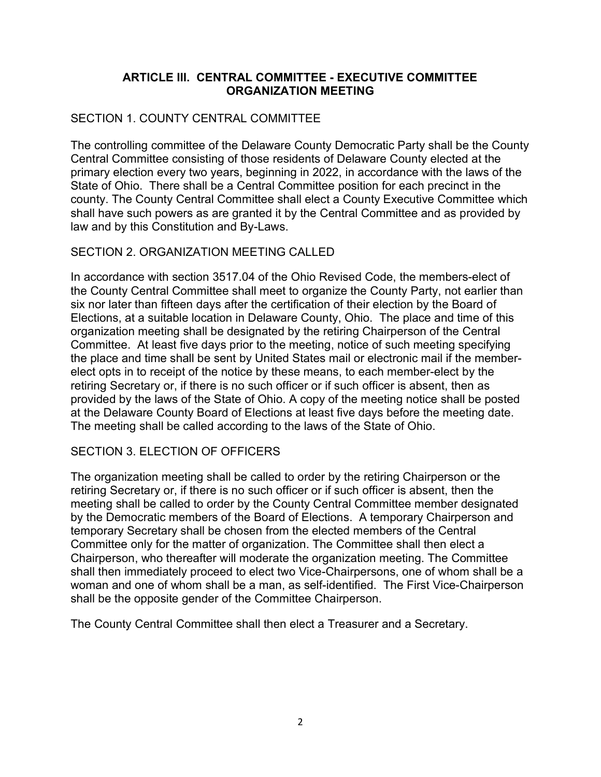## ARTICLE III. CENTRAL COMMITTEE - EXECUTIVE COMMITTEE ORGANIZATION MEETING

## SECTION 1. COUNTY CENTRAL COMMITTEE

The controlling committee of the Delaware County Democratic Party shall be the County Central Committee consisting of those residents of Delaware County elected at the primary election every two years, beginning in 2022, in accordance with the laws of the State of Ohio. There shall be a Central Committee position for each precinct in the county. The County Central Committee shall elect a County Executive Committee which shall have such powers as are granted it by the Central Committee and as provided by law and by this Constitution and By-Laws.

## SECTION 2. ORGANIZATION MEETING CALLED

In accordance with section 3517.04 of the Ohio Revised Code, the members-elect of the County Central Committee shall meet to organize the County Party, not earlier than six nor later than fifteen days after the certification of their election by the Board of Elections, at a suitable location in Delaware County, Ohio. The place and time of this organization meeting shall be designated by the retiring Chairperson of the Central Committee. At least five days prior to the meeting, notice of such meeting specifying the place and time shall be sent by United States mail or electronic mail if the memberelect opts in to receipt of the notice by these means, to each member-elect by the retiring Secretary or, if there is no such officer or if such officer is absent, then as provided by the laws of the State of Ohio. A copy of the meeting notice shall be posted at the Delaware County Board of Elections at least five days before the meeting date. The meeting shall be called according to the laws of the State of Ohio.

## SECTION 3. ELECTION OF OFFICERS

The organization meeting shall be called to order by the retiring Chairperson or the retiring Secretary or, if there is no such officer or if such officer is absent, then the meeting shall be called to order by the County Central Committee member designated by the Democratic members of the Board of Elections. A temporary Chairperson and temporary Secretary shall be chosen from the elected members of the Central Committee only for the matter of organization. The Committee shall then elect a Chairperson, who thereafter will moderate the organization meeting. The Committee shall then immediately proceed to elect two Vice-Chairpersons, one of whom shall be a woman and one of whom shall be a man, as self-identified. The First Vice-Chairperson shall be the opposite gender of the Committee Chairperson.

The County Central Committee shall then elect a Treasurer and a Secretary.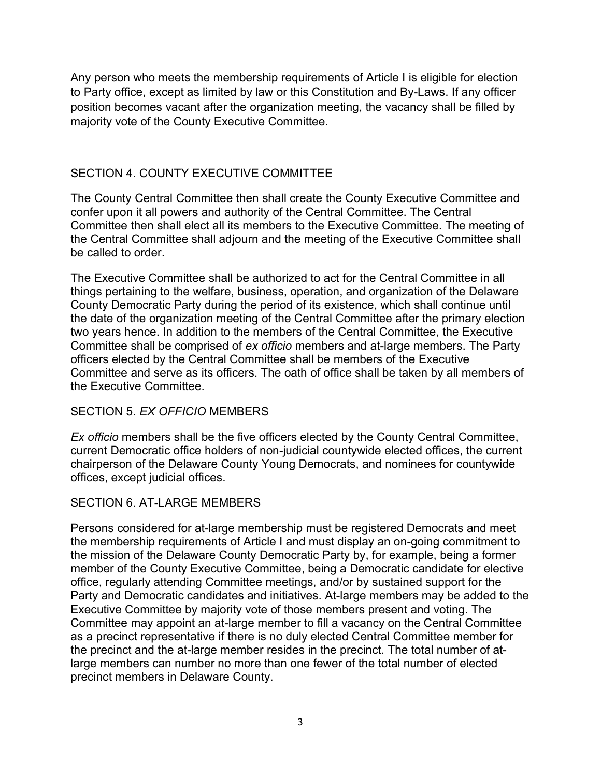Any person who meets the membership requirements of Article I is eligible for election to Party office, except as limited by law or this Constitution and By-Laws. If any officer position becomes vacant after the organization meeting, the vacancy shall be filled by majority vote of the County Executive Committee.

## SECTION 4. COUNTY EXECUTIVE COMMITTEE

The County Central Committee then shall create the County Executive Committee and confer upon it all powers and authority of the Central Committee. The Central Committee then shall elect all its members to the Executive Committee. The meeting of the Central Committee shall adjourn and the meeting of the Executive Committee shall be called to order.

The Executive Committee shall be authorized to act for the Central Committee in all things pertaining to the welfare, business, operation, and organization of the Delaware County Democratic Party during the period of its existence, which shall continue until the date of the organization meeting of the Central Committee after the primary election two years hence. In addition to the members of the Central Committee, the Executive Committee shall be comprised of ex officio members and at-large members. The Party officers elected by the Central Committee shall be members of the Executive Committee and serve as its officers. The oath of office shall be taken by all members of the Executive Committee.

## SECTION 5. EX OFFICIO MEMBERS

Ex officio members shall be the five officers elected by the County Central Committee, current Democratic office holders of non-judicial countywide elected offices, the current chairperson of the Delaware County Young Democrats, and nominees for countywide offices, except judicial offices.

## SECTION 6. AT-LARGE MEMBERS

Persons considered for at-large membership must be registered Democrats and meet the membership requirements of Article I and must display an on-going commitment to the mission of the Delaware County Democratic Party by, for example, being a former member of the County Executive Committee, being a Democratic candidate for elective office, regularly attending Committee meetings, and/or by sustained support for the Party and Democratic candidates and initiatives. At-large members may be added to the Executive Committee by majority vote of those members present and voting. The Committee may appoint an at-large member to fill a vacancy on the Central Committee as a precinct representative if there is no duly elected Central Committee member for the precinct and the at-large member resides in the precinct. The total number of atlarge members can number no more than one fewer of the total number of elected precinct members in Delaware County.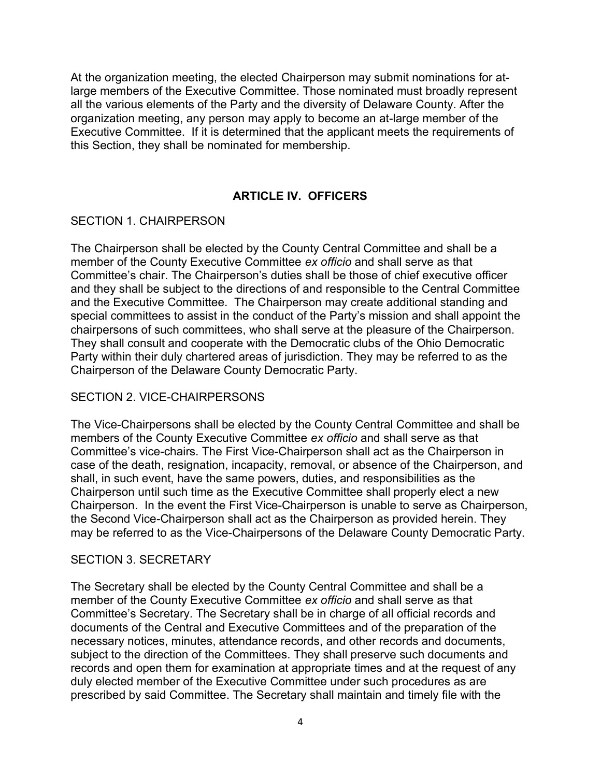At the organization meeting, the elected Chairperson may submit nominations for atlarge members of the Executive Committee. Those nominated must broadly represent all the various elements of the Party and the diversity of Delaware County. After the organization meeting, any person may apply to become an at-large member of the Executive Committee. If it is determined that the applicant meets the requirements of this Section, they shall be nominated for membership.

## ARTICLE IV. OFFICERS

#### SECTION 1. CHAIRPERSON

The Chairperson shall be elected by the County Central Committee and shall be a member of the County Executive Committee ex officio and shall serve as that Committee's chair. The Chairperson's duties shall be those of chief executive officer and they shall be subject to the directions of and responsible to the Central Committee and the Executive Committee. The Chairperson may create additional standing and special committees to assist in the conduct of the Party's mission and shall appoint the chairpersons of such committees, who shall serve at the pleasure of the Chairperson. They shall consult and cooperate with the Democratic clubs of the Ohio Democratic Party within their duly chartered areas of jurisdiction. They may be referred to as the Chairperson of the Delaware County Democratic Party.

## SECTION 2. VICE-CHAIRPERSONS

The Vice-Chairpersons shall be elected by the County Central Committee and shall be members of the County Executive Committee ex officio and shall serve as that Committee's vice-chairs. The First Vice-Chairperson shall act as the Chairperson in case of the death, resignation, incapacity, removal, or absence of the Chairperson, and shall, in such event, have the same powers, duties, and responsibilities as the Chairperson until such time as the Executive Committee shall properly elect a new Chairperson. In the event the First Vice-Chairperson is unable to serve as Chairperson, the Second Vice-Chairperson shall act as the Chairperson as provided herein. They may be referred to as the Vice-Chairpersons of the Delaware County Democratic Party.

#### SECTION 3. SECRETARY

The Secretary shall be elected by the County Central Committee and shall be a member of the County Executive Committee ex officio and shall serve as that Committee's Secretary. The Secretary shall be in charge of all official records and documents of the Central and Executive Committees and of the preparation of the necessary notices, minutes, attendance records, and other records and documents, subject to the direction of the Committees. They shall preserve such documents and records and open them for examination at appropriate times and at the request of any duly elected member of the Executive Committee under such procedures as are prescribed by said Committee. The Secretary shall maintain and timely file with the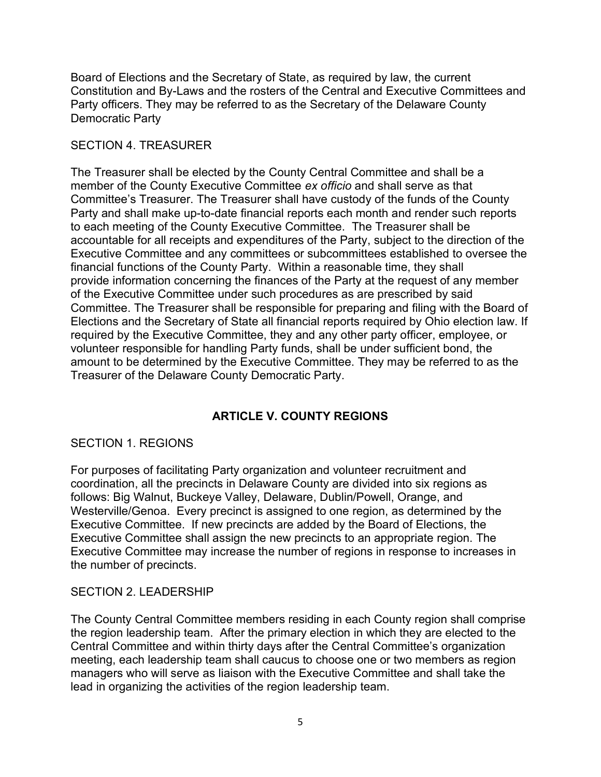Board of Elections and the Secretary of State, as required by law, the current Constitution and By-Laws and the rosters of the Central and Executive Committees and Party officers. They may be referred to as the Secretary of the Delaware County Democratic Party

## SECTION 4. TREASURER

The Treasurer shall be elected by the County Central Committee and shall be a member of the County Executive Committee ex officio and shall serve as that Committee's Treasurer. The Treasurer shall have custody of the funds of the County Party and shall make up-to-date financial reports each month and render such reports to each meeting of the County Executive Committee. The Treasurer shall be accountable for all receipts and expenditures of the Party, subject to the direction of the Executive Committee and any committees or subcommittees established to oversee the financial functions of the County Party. Within a reasonable time, they shall provide information concerning the finances of the Party at the request of any member of the Executive Committee under such procedures as are prescribed by said Committee. The Treasurer shall be responsible for preparing and filing with the Board of Elections and the Secretary of State all financial reports required by Ohio election law. If required by the Executive Committee, they and any other party officer, employee, or volunteer responsible for handling Party funds, shall be under sufficient bond, the amount to be determined by the Executive Committee. They may be referred to as the Treasurer of the Delaware County Democratic Party.

# ARTICLE V. COUNTY REGIONS

## SECTION 1. REGIONS

For purposes of facilitating Party organization and volunteer recruitment and coordination, all the precincts in Delaware County are divided into six regions as follows: Big Walnut, Buckeye Valley, Delaware, Dublin/Powell, Orange, and Westerville/Genoa. Every precinct is assigned to one region, as determined by the Executive Committee. If new precincts are added by the Board of Elections, the Executive Committee shall assign the new precincts to an appropriate region. The Executive Committee may increase the number of regions in response to increases in the number of precincts.

## SECTION 2. LEADERSHIP

The County Central Committee members residing in each County region shall comprise the region leadership team. After the primary election in which they are elected to the Central Committee and within thirty days after the Central Committee's organization meeting, each leadership team shall caucus to choose one or two members as region managers who will serve as liaison with the Executive Committee and shall take the lead in organizing the activities of the region leadership team.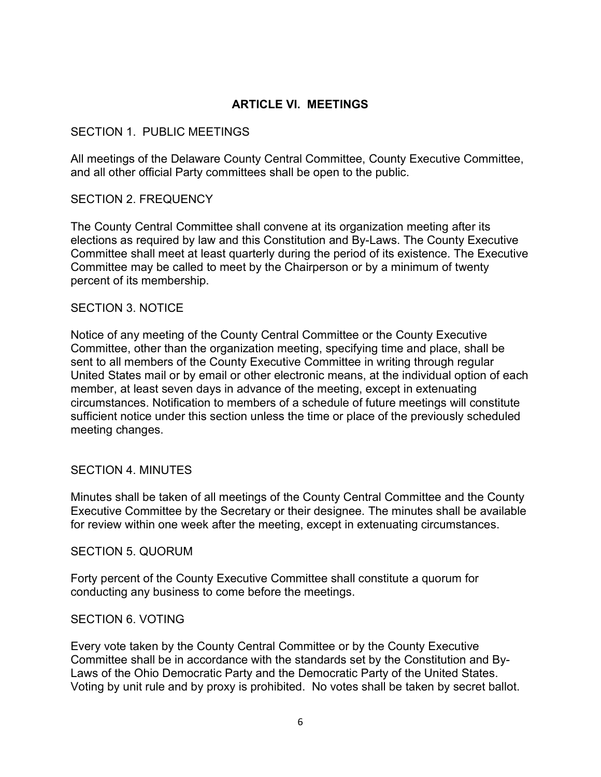## ARTICLE VI. MEETINGS

### SECTION 1. PUBLIC MEETINGS

All meetings of the Delaware County Central Committee, County Executive Committee, and all other official Party committees shall be open to the public.

### SECTION 2. FREQUENCY

The County Central Committee shall convene at its organization meeting after its elections as required by law and this Constitution and By-Laws. The County Executive Committee shall meet at least quarterly during the period of its existence. The Executive Committee may be called to meet by the Chairperson or by a minimum of twenty percent of its membership.

#### SECTION 3. NOTICE

Notice of any meeting of the County Central Committee or the County Executive Committee, other than the organization meeting, specifying time and place, shall be sent to all members of the County Executive Committee in writing through regular United States mail or by email or other electronic means, at the individual option of each member, at least seven days in advance of the meeting, except in extenuating circumstances. Notification to members of a schedule of future meetings will constitute sufficient notice under this section unless the time or place of the previously scheduled meeting changes.

#### SECTION 4. MINUTES

Minutes shall be taken of all meetings of the County Central Committee and the County Executive Committee by the Secretary or their designee. The minutes shall be available for review within one week after the meeting, except in extenuating circumstances.

#### SECTION 5. QUORUM

Forty percent of the County Executive Committee shall constitute a quorum for conducting any business to come before the meetings.

#### SECTION 6. VOTING

Every vote taken by the County Central Committee or by the County Executive Committee shall be in accordance with the standards set by the Constitution and By-Laws of the Ohio Democratic Party and the Democratic Party of the United States. Voting by unit rule and by proxy is prohibited. No votes shall be taken by secret ballot.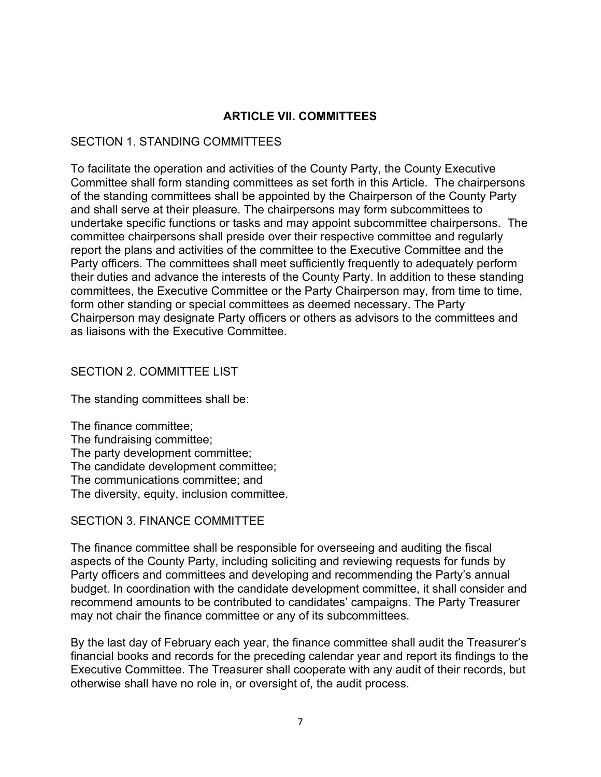## ARTICLE VII. COMMITTEES

## SECTION 1. STANDING COMMITTEES

To facilitate the operation and activities of the County Party, the County Executive Committee shall form standing committees as set forth in this Article. The chairpersons of the standing committees shall be appointed by the Chairperson of the County Party and shall serve at their pleasure. The chairpersons may form subcommittees to undertake specific functions or tasks and may appoint subcommittee chairpersons. The committee chairpersons shall preside over their respective committee and regularly report the plans and activities of the committee to the Executive Committee and the Party officers. The committees shall meet sufficiently frequently to adequately perform their duties and advance the interests of the County Party. In addition to these standing committees, the Executive Committee or the Party Chairperson may, from time to time, form other standing or special committees as deemed necessary. The Party Chairperson may designate Party officers or others as advisors to the committees and as liaisons with the Executive Committee.

## SECTION 2. COMMITTEE LIST

The standing committees shall be:

The finance committee; The fundraising committee; The party development committee; The candidate development committee; The communications committee; and The diversity, equity, inclusion committee.

#### SECTION 3. FINANCE COMMITTEE

The finance committee shall be responsible for overseeing and auditing the fiscal aspects of the County Party, including soliciting and reviewing requests for funds by Party officers and committees and developing and recommending the Party's annual budget. In coordination with the candidate development committee, it shall consider and recommend amounts to be contributed to candidates' campaigns. The Party Treasurer may not chair the finance committee or any of its subcommittees.

By the last day of February each year, the finance committee shall audit the Treasurer's financial books and records for the preceding calendar year and report its findings to the Executive Committee. The Treasurer shall cooperate with any audit of their records, but otherwise shall have no role in, or oversight of, the audit process.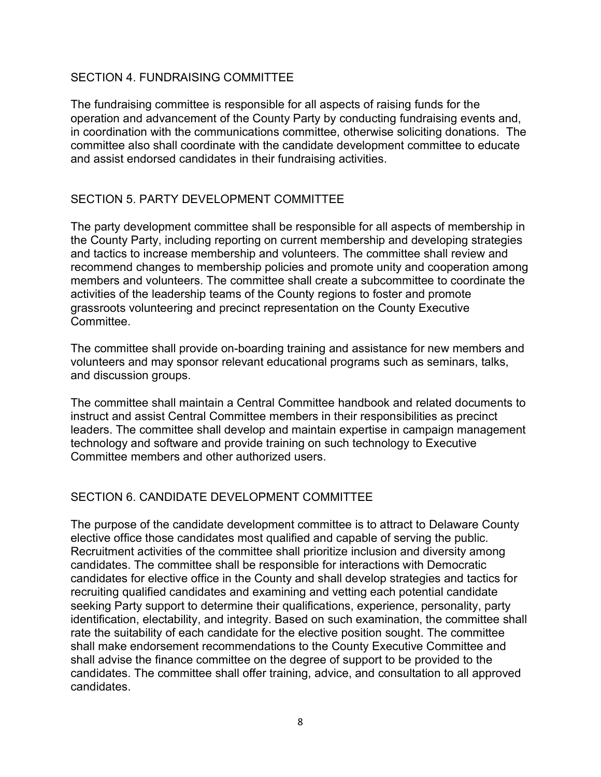## SECTION 4. FUNDRAISING COMMITTEE

The fundraising committee is responsible for all aspects of raising funds for the operation and advancement of the County Party by conducting fundraising events and, in coordination with the communications committee, otherwise soliciting donations. The committee also shall coordinate with the candidate development committee to educate and assist endorsed candidates in their fundraising activities.

## SECTION 5. PARTY DEVELOPMENT COMMITTEE

The party development committee shall be responsible for all aspects of membership in the County Party, including reporting on current membership and developing strategies and tactics to increase membership and volunteers. The committee shall review and recommend changes to membership policies and promote unity and cooperation among members and volunteers. The committee shall create a subcommittee to coordinate the activities of the leadership teams of the County regions to foster and promote grassroots volunteering and precinct representation on the County Executive Committee.

The committee shall provide on-boarding training and assistance for new members and volunteers and may sponsor relevant educational programs such as seminars, talks, and discussion groups.

The committee shall maintain a Central Committee handbook and related documents to instruct and assist Central Committee members in their responsibilities as precinct leaders. The committee shall develop and maintain expertise in campaign management technology and software and provide training on such technology to Executive Committee members and other authorized users.

## SECTION 6. CANDIDATE DEVELOPMENT COMMITTEE

The purpose of the candidate development committee is to attract to Delaware County elective office those candidates most qualified and capable of serving the public. Recruitment activities of the committee shall prioritize inclusion and diversity among candidates. The committee shall be responsible for interactions with Democratic candidates for elective office in the County and shall develop strategies and tactics for recruiting qualified candidates and examining and vetting each potential candidate seeking Party support to determine their qualifications, experience, personality, party identification, electability, and integrity. Based on such examination, the committee shall rate the suitability of each candidate for the elective position sought. The committee shall make endorsement recommendations to the County Executive Committee and shall advise the finance committee on the degree of support to be provided to the candidates. The committee shall offer training, advice, and consultation to all approved candidates.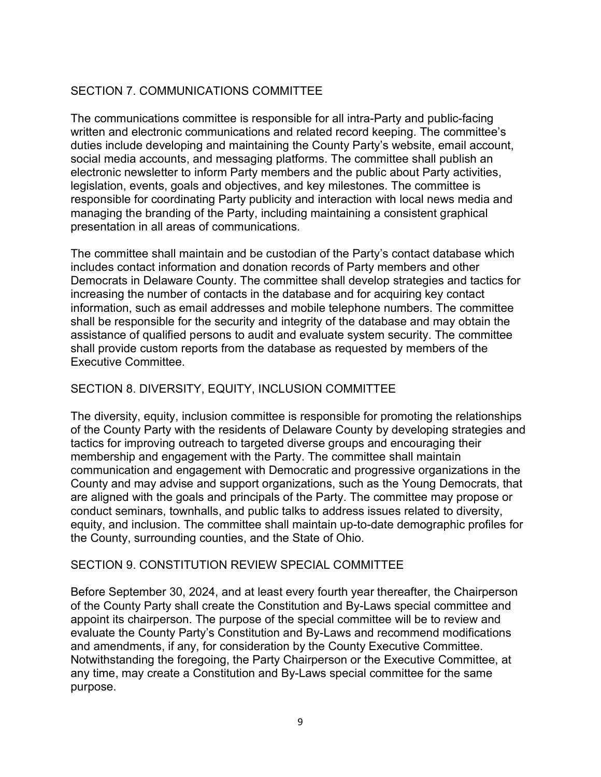# SECTION 7. COMMUNICATIONS COMMITTEE

The communications committee is responsible for all intra-Party and public-facing written and electronic communications and related record keeping. The committee's duties include developing and maintaining the County Party's website, email account, social media accounts, and messaging platforms. The committee shall publish an electronic newsletter to inform Party members and the public about Party activities, legislation, events, goals and objectives, and key milestones. The committee is responsible for coordinating Party publicity and interaction with local news media and managing the branding of the Party, including maintaining a consistent graphical presentation in all areas of communications.

The committee shall maintain and be custodian of the Party's contact database which includes contact information and donation records of Party members and other Democrats in Delaware County. The committee shall develop strategies and tactics for increasing the number of contacts in the database and for acquiring key contact information, such as email addresses and mobile telephone numbers. The committee shall be responsible for the security and integrity of the database and may obtain the assistance of qualified persons to audit and evaluate system security. The committee shall provide custom reports from the database as requested by members of the Executive Committee.

## SECTION 8. DIVERSITY, EQUITY, INCLUSION COMMITTEE

The diversity, equity, inclusion committee is responsible for promoting the relationships of the County Party with the residents of Delaware County by developing strategies and tactics for improving outreach to targeted diverse groups and encouraging their membership and engagement with the Party. The committee shall maintain communication and engagement with Democratic and progressive organizations in the County and may advise and support organizations, such as the Young Democrats, that are aligned with the goals and principals of the Party. The committee may propose or conduct seminars, townhalls, and public talks to address issues related to diversity, equity, and inclusion. The committee shall maintain up-to-date demographic profiles for the County, surrounding counties, and the State of Ohio.

## SECTION 9. CONSTITUTION REVIEW SPECIAL COMMITTEE

Before September 30, 2024, and at least every fourth year thereafter, the Chairperson of the County Party shall create the Constitution and By-Laws special committee and appoint its chairperson. The purpose of the special committee will be to review and evaluate the County Party's Constitution and By-Laws and recommend modifications and amendments, if any, for consideration by the County Executive Committee. Notwithstanding the foregoing, the Party Chairperson or the Executive Committee, at any time, may create a Constitution and By-Laws special committee for the same purpose.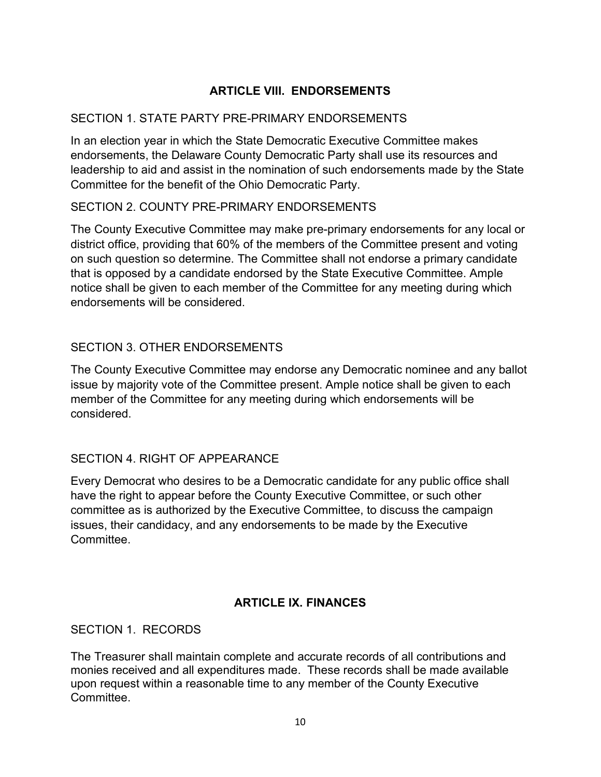# ARTICLE VIII. ENDORSEMENTS

## SECTION 1. STATE PARTY PRE-PRIMARY ENDORSEMENTS

In an election year in which the State Democratic Executive Committee makes endorsements, the Delaware County Democratic Party shall use its resources and leadership to aid and assist in the nomination of such endorsements made by the State Committee for the benefit of the Ohio Democratic Party.

## SECTION 2. COUNTY PRE-PRIMARY ENDORSEMENTS

The County Executive Committee may make pre-primary endorsements for any local or district office, providing that 60% of the members of the Committee present and voting on such question so determine. The Committee shall not endorse a primary candidate that is opposed by a candidate endorsed by the State Executive Committee. Ample notice shall be given to each member of the Committee for any meeting during which endorsements will be considered.

## SECTION 3. OTHER ENDORSEMENTS

The County Executive Committee may endorse any Democratic nominee and any ballot issue by majority vote of the Committee present. Ample notice shall be given to each member of the Committee for any meeting during which endorsements will be considered.

## SECTION 4. RIGHT OF APPEARANCE

Every Democrat who desires to be a Democratic candidate for any public office shall have the right to appear before the County Executive Committee, or such other committee as is authorized by the Executive Committee, to discuss the campaign issues, their candidacy, and any endorsements to be made by the Executive **Committee** 

## ARTICLE IX. FINANCES

SECTION 1. RECORDS.

The Treasurer shall maintain complete and accurate records of all contributions and monies received and all expenditures made. These records shall be made available upon request within a reasonable time to any member of the County Executive **Committee**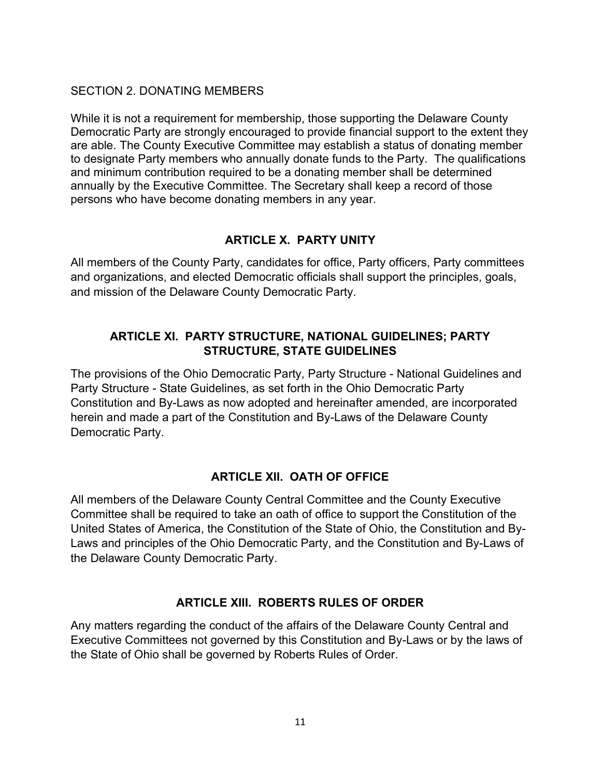## SECTION 2. DONATING MEMBERS

While it is not a requirement for membership, those supporting the Delaware County Democratic Party are strongly encouraged to provide financial support to the extent they are able. The County Executive Committee may establish a status of donating member to designate Party members who annually donate funds to the Party. The qualifications and minimum contribution required to be a donating member shall be determined annually by the Executive Committee. The Secretary shall keep a record of those persons who have become donating members in any year.

## ARTICLE X. PARTY UNITY

All members of the County Party, candidates for office, Party officers, Party committees and organizations, and elected Democratic officials shall support the principles, goals, and mission of the Delaware County Democratic Party.

## ARTICLE XI. PARTY STRUCTURE, NATIONAL GUIDELINES; PARTY STRUCTURE, STATE GUIDELINES

The provisions of the Ohio Democratic Party, Party Structure - National Guidelines and Party Structure - State Guidelines, as set forth in the Ohio Democratic Party Constitution and By-Laws as now adopted and hereinafter amended, are incorporated herein and made a part of the Constitution and By-Laws of the Delaware County Democratic Party.

## ARTICLE XII. OATH OF OFFICE

All members of the Delaware County Central Committee and the County Executive Committee shall be required to take an oath of office to support the Constitution of the United States of America, the Constitution of the State of Ohio, the Constitution and By-Laws and principles of the Ohio Democratic Party, and the Constitution and By-Laws of the Delaware County Democratic Party.

## ARTICLE XIII. ROBERTS RULES OF ORDER

Any matters regarding the conduct of the affairs of the Delaware County Central and Executive Committees not governed by this Constitution and By-Laws or by the laws of the State of Ohio shall be governed by Roberts Rules of Order.